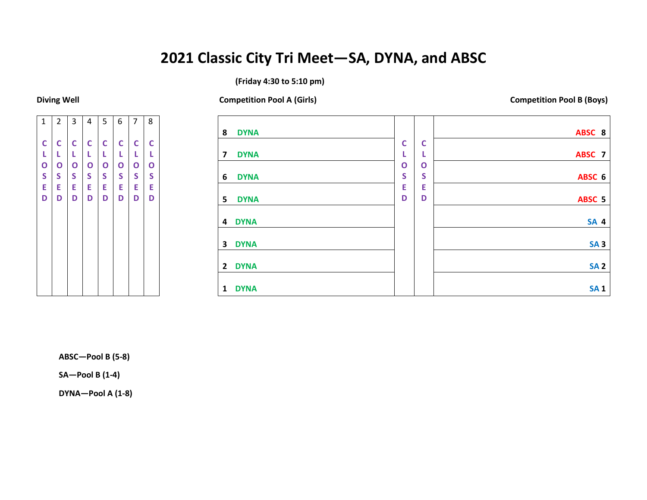## **2021 Classic City Tri Meet—SA, DYNA, and ABSC**

### **(Friday 4:30 to 5:10 pm)**

**Diving Well Competition Pool A (Girls) Competition Pool B (Boys)**



| 8<br><b>DYNA</b>                       |              |              | ABSC 8          |
|----------------------------------------|--------------|--------------|-----------------|
|                                        | $\mathsf{C}$ | $\mathbf C$  |                 |
| <b>DYNA</b><br>$\overline{\mathbf{z}}$ |              | L            | ABSC 7          |
|                                        | $\mathbf 0$  | $\mathbf{o}$ |                 |
| $6\phantom{1}6$<br><b>DYNA</b>         | S            | S            | ABSC 6          |
|                                        | Е            | E            |                 |
| $5\phantom{1}$<br><b>DYNA</b>          | D            | D            | ABSC 5          |
|                                        |              |              |                 |
| <b>DYNA</b><br>4                       |              |              | <b>SA 4</b>     |
|                                        |              |              |                 |
| <b>DYNA</b><br>$\overline{\mathbf{3}}$ |              |              | SA <sub>3</sub> |
|                                        |              |              |                 |
| $\overline{2}$<br><b>DYNA</b>          |              |              | <b>SA 2</b>     |
|                                        |              |              |                 |
| <b>DYNA</b><br>$\mathbf{1}$            |              |              | <b>SA1</b>      |

**ABSC—Pool B (5-8)**

**SA—Pool B (1-4)**

**DYNA—Pool A (1-8)**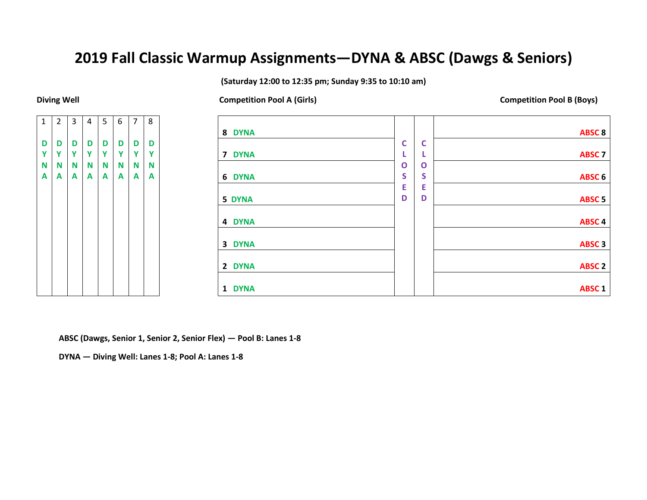### **2019 Fall Classic Warmup Assignments—DYNA & ABSC (Dawgs & Seniors)**

**(Saturday 12:00 to 12:35 pm; Sunday 9:35 to 10:10 am)**

**Diving Well Competition Pool A (Girls) Competition Pool B (Boys)**



| 8 DYNA                        |              |             | <b>ABSC 8</b>     |
|-------------------------------|--------------|-------------|-------------------|
|                               |              |             |                   |
|                               | $\mathbf C$  | C           |                   |
| <b>DYNA</b><br>7 <sup>7</sup> | L            | L           | <b>ABSC 7</b>     |
|                               | $\mathbf{o}$ | $\mathbf 0$ |                   |
| 6 DYNA                        | S            | S           | ABSC <sub>6</sub> |
|                               | E            | E           |                   |
| 5 DYNA                        | D            | D           | <b>ABSC 5</b>     |
|                               |              |             |                   |
| 4 DYNA                        |              |             | <b>ABSC4</b>      |
|                               |              |             |                   |
| 3 DYNA                        |              |             | ABSC <sub>3</sub> |
|                               |              |             |                   |
| 2 DYNA                        |              |             | <b>ABSC 2</b>     |
|                               |              |             |                   |
| <b>DYNA</b><br>$\mathbf{1}$   |              |             | ABSC <sub>1</sub> |

**ABSC (Dawgs, Senior 1, Senior 2, Senior Flex) — Pool B: Lanes 1-8**

**DYNA — Diving Well: Lanes 1-8; Pool A: Lanes 1-8**